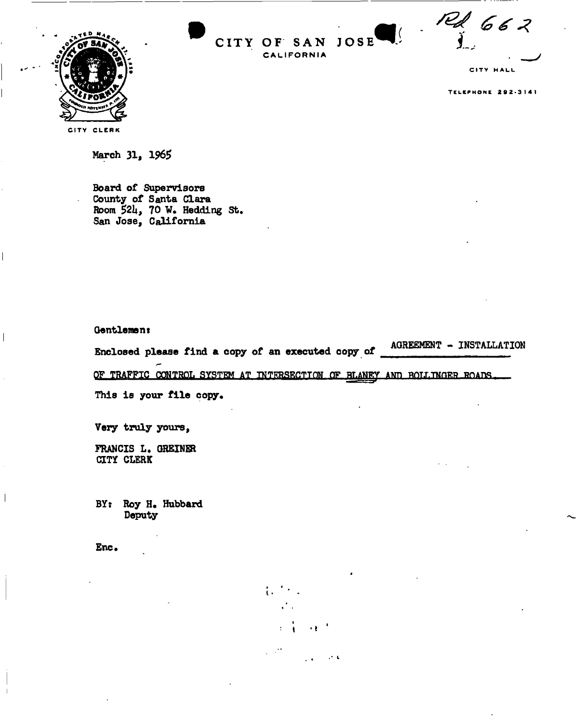

 $\mathbf{C}$ 

 $JOSE$ 

CITY OF SAN

CALIFORNIA

CITY HALL

**TELEPHONE 292-3141** 



March 31, 1965

**Board of Supervisors County of Santa Clara Room 521\*, 70 W. Hedding St, San Jose, California** 

**Gentlemant** 

**Enclosed please find a copy of an executed copy of an executed copy of**  $\frac{1}{2}$ 

OF TRAFFIC CONTROL SYSTEM AT INTERSECTION OF BLANEY AND ROLLINGER ROADS

 $\ddot{\cdot}$ 

**This is your file copy.** 

**Very truly yours,** 

FRANCIS L. GREINER **CITY CLERK** 

**BY: Roy H. Hubbard Deputy** 

**Enc.**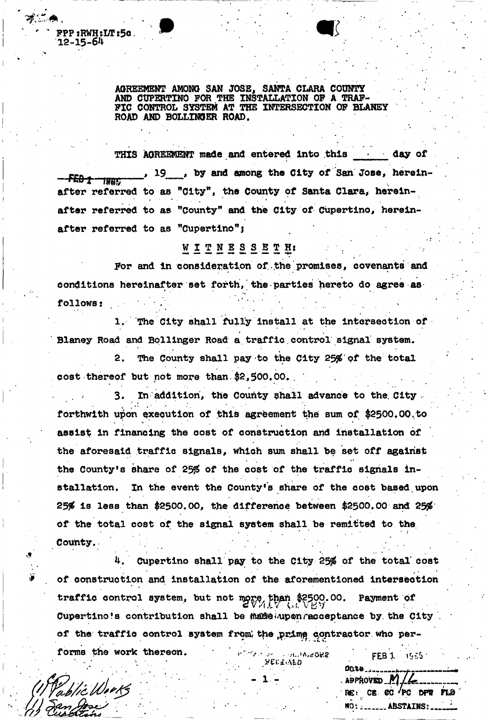AGREEMENT AMONG SAN JOSE, SANTA CLARA COUNTY AND CUPERTINO FOR THE INSTALLATION OF A TRAF-FIC CONTROL SYSTEM AT THE INTERSECTION OF BLANEY ROAD AND BOLLINGER ROAD.

THIS **AGREEMENT made and entered into this • • day of**  , 19 , **by and among the City of** San **Jose, herein-** - FEB 1 1995 - 1995 - 1997 - 1998 - 1999 - 1999 - 1999 - 1999 - 1999 - 1999 - 1999 - 1999 - 1999 - 1999 - 1999 - 1<br>after referred to as "City", the County of Santa Clara, hereinafter referred to as "County" and the City of Cupertino, hereinafter referred to as "Cupertino";

## $\alpha$  as  $\alpha$  as  $\alpha$  as  $\alpha$  as  $\alpha$

For and in consideration of the promises, covenants and conditions hereinafter set forth, the parties hereto do agree as conditions hereinafter set forth, the parties hereto do agree as respectively. The contract of the contract of the contract of the contract of

follows: 1. The City shall fully install at the intersection of Blaney Road and Bollinger Road a traffic control signal system.

2. The County shall pay to the City 25% of the total cost thereof but not more than \$2,500.00.

3. In addition, the County shall advance to the City. forthwith upon execution of this agreement the sum of \$2500.00 to assist in financing the cost of construction and installation of the aforesaid traffic signals, which sum shall be set off against the County's share of 25% of the cost of the traffic signals installation. In the event the County's share of the cost based upon 25 $%$  is less than \$2500.00, the difference between \$2500.00 and 25 $%$ of the total cost of the signal system shall be remitted to the of the total cost of the signal system shall be remitted to the

Cupertino shall pay to the City 25% of the total cost of construction and installation of the aforementioned intersection traffic control system, but not more than \$2500.00. Payment of  $t$ ritrafic control system, but  $\mathbf{r}_{\mathbf{G}}$ compute y cyperia acceptant of the traffic control system from the prime contractor who performs the work thereon. The system from the system from the vork thereon.

 $\cdot$  approved  $\left| \cdot \right|$ 

RE: CB CC 'PC DPW FLO NO: . . . . . . . . ABSTAINS: . . . .

 $\sigma$  is the work the work there we have the work there is  $\mathbf{f}$  b labeled there is  $\mathbf{f}$  b labeled then  $\mathbf{M}$ blic Works

FPP:KWH:M?:5o.

12-15-64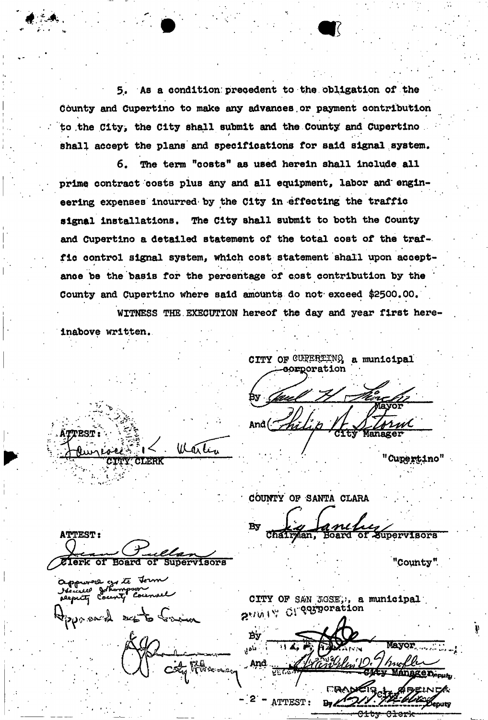5. As a condition precedent to the obligation of the County and Cupertino to make any advances or payment contribution to the City, the City shall submit and the County and Cupertino. shall accept the plans and specifications for said signal system.

The term "costs" as used herein shall include all 6. prime contract costs plus any and all equipment, labor and engineering expenses incurred by the City in effecting the traffic signal installations. The City shall submit to both the County and Cupertino a detailed statement of the total cost of the traffic control signal system, which cost statement shall upon acceptance be the basis for the percentage of cost contribution by the County and Cupertino where said amounts do not exceed \$2500.00.

WITNESS THE EXECUTION hereof the day and year first here-

inabove written.

חפסת

CITY OF CURERTING a municipal **aorporation** 

'Cupertino"

COUNTY OF SANTA CLARA

**Supervisors** 

"County".

**ATTEST:** of Supervisors Board σľ

**Y' CLERK** 

approve grate t

 $R_{\rm Waxax}$ 

lik

ar Li

CITY OF SAN JOSE, , a municipal 2-1019 OF Comporation

ATTEST: eniito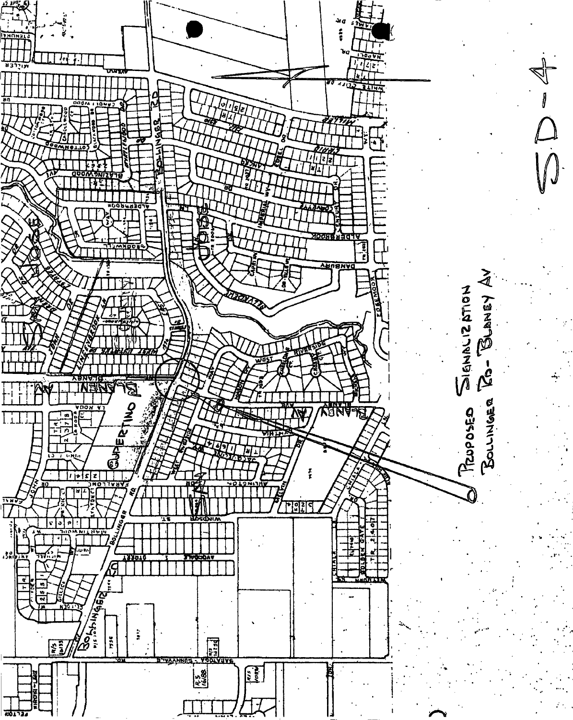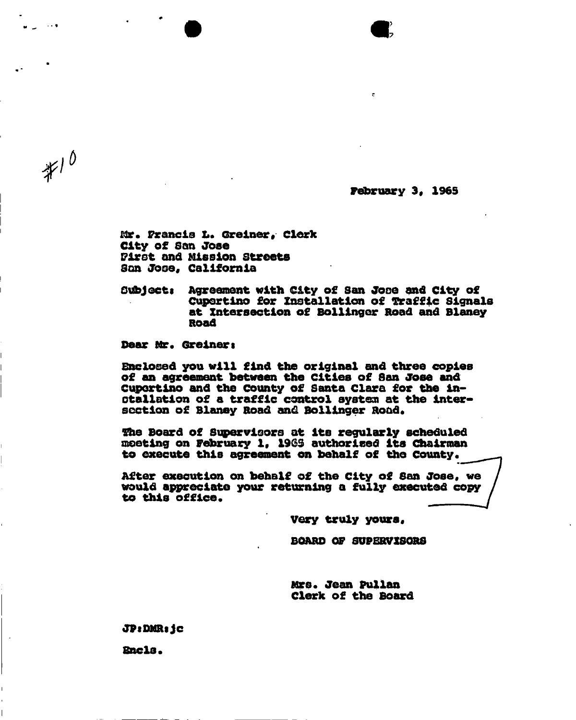**February 3. 1965** 

**Mr. Francis L. Greiner, Clerk City of San Jose Pirst and Mission streets San Jooe, California** 

**Subjects Agreement with City of San Jose and City of Cupertino for Installation of Traffic Signals at Intersection of Bollinger Road and Blaney Road** 

**Dear Mr. Greinert** 

 $*10$ 

**Enclosed you will find the original and three copies of an agreement between the Cities of 3an Jose and Cupertino and the County of Santa Clara for the installation of a traffic control system at the inter**section of Blaney Road and Bollinger Road.

**She Board of Supervisors at its regularly scheduled meeting on February 1, 196\$ authorised its Chairman**  to execute this agreement on behalf of the County.

**After execution on behalf of the City of San Jose, we would appreciate your returning a fully executed copy }**  to this office.

**Very truly yours.** 

**BOARD OF SUPERVISORS** 

**Mrs. Jean Pullan Clerk of the Board** 

**JPtDMRijc** 

**Sncls\***